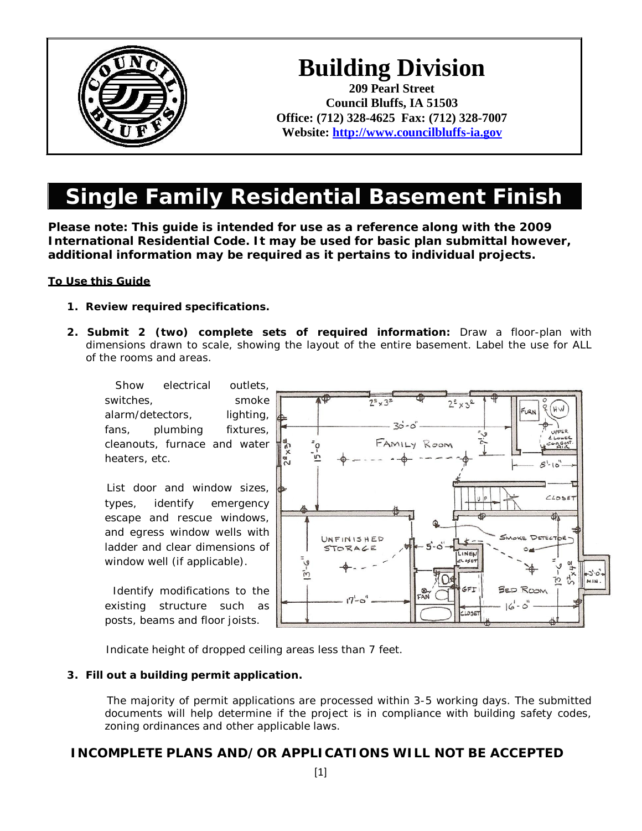

# **Building Division**

**209 Pearl Street Council Bluffs, IA 51503 Office: (712) 328-4625 Fax: (712) 328-7007 Website: [http://www.councilbluffs-ia.gov](http://www.councilbluffs-ia.gov/)**

## **Single Family Residential Basement Finish**

**Please note: This guide is intended for use as a reference along with the 2009 International Residential Code. It may be used for basic plan submittal however, additional information may be required as it pertains to individual projects.**

#### **To Use this Guide**

- **1. Review required specifications.**
- **2. Submit 2 (two) complete sets of required information:** Draw a floor-plan with dimensions drawn to scale, showing the layout of the entire basement. Label the use for ALL of the rooms and areas.

Show electrical outlets, switches, smoke alarm/detectors, lighting, fans, plumbing fixtures, cleanouts, furnace and water heaters, etc.

 List door and window sizes, types, identify emergency escape and rescue windows, and egress window wells with ladder and clear dimensions of window well (if applicable).

 Identify modifications to the existing structure such as posts, beams and floor joists.



Indicate height of dropped ceiling areas less than 7 feet.

#### **3. Fill out a building permit application.**

 The majority of permit applications are processed within 3-5 working days. The submitted documents will help determine if the project is in compliance with building safety codes, zoning ordinances and other applicable laws.

### **INCOMPLETE PLANS AND/OR APPLICATIONS WILL NOT BE ACCEPTED**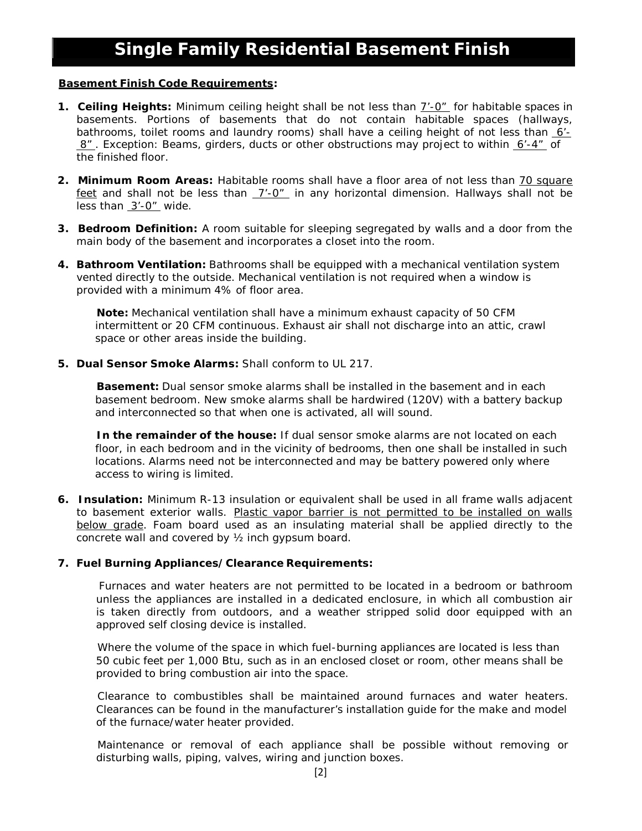#### **Basement Finish Code Requirements:**

- **1. Ceiling Heights:** Minimum ceiling height shall be not less than 7'-0" for habitable spaces in basements. Portions of basements that do not contain habitable spaces (hallways, bathrooms, toilet rooms and laundry rooms) shall have a ceiling height of not less than  $6'$ -8" . *Exception: Beams, girders, ducts or other obstructions may project to within 6'-4" of the finished floor.*
- **2. Minimum Room Areas:** Habitable rooms shall have a floor area of not less than 70 square feet and shall not be less than 7'-0" in any horizontal dimension. Hallways shall not be less than  $3'-0''$  wide.
- **3. Bedroom Definition:** A room suitable for sleeping segregated by walls and a door from the main body of the basement and incorporates a closet into the room.
- **4. Bathroom Ventilation:** Bathrooms shall be equipped with a mechanical ventilation system vented directly to the outside. Mechanical ventilation is not required when a window is provided with a minimum 4% of floor area.

 **Note:** Mechanical ventilation shall have a minimum exhaust capacity of 50 CFM intermittent or 20 CFM continuous. *Exhaust air shall not discharge into an attic, crawl space or other areas inside the building.*

**5. Dual Sensor Smoke Alarms:** Shall conform to UL 217.

 **Basement:** Dual sensor smoke alarms shall be installed in the basement and in each basement bedroom. New smoke alarms shall be hardwired (120V) with a battery backup and interconnected so that when one is activated, all will sound.

 **In the remainder of the house:** If dual sensor smoke alarms are not located on each floor, in each bedroom and in the vicinity of bedrooms, then one shall be installed in such locations. Alarms need not be interconnected and may be battery powered only where access to wiring is limited.

**6. Insulation:** Minimum R-13 insulation or equivalent shall be used in all frame walls adjacent to basement exterior walls. *Plastic vapor barrier is not permitted to be installed on walls below grade.* Foam board used as an insulating material shall be applied directly to the concrete wall and covered by ½ inch gypsum board.

#### **7. Fuel Burning Appliances/Clearance Requirements:**

 Furnaces and water heaters are not permitted to be located in a bedroom or bathroom unless the appliances are installed in a dedicated enclosure, in which all combustion air is taken directly from outdoors, and a weather stripped solid door equipped with an approved self closing device is installed.

 Where the volume of the space in which fuel-burning appliances are located is less than 50 cubic feet per 1,000 Btu, such as in an enclosed closet or room, other means shall be provided to bring combustion air into the space.

 Clearance to combustibles shall be maintained around furnaces and water heaters. Clearances can be found in the manufacturer's installation guide for the make and model of the furnace/water heater provided.

 Maintenance or removal of each appliance shall be possible without removing or disturbing walls, piping, valves, wiring and junction boxes.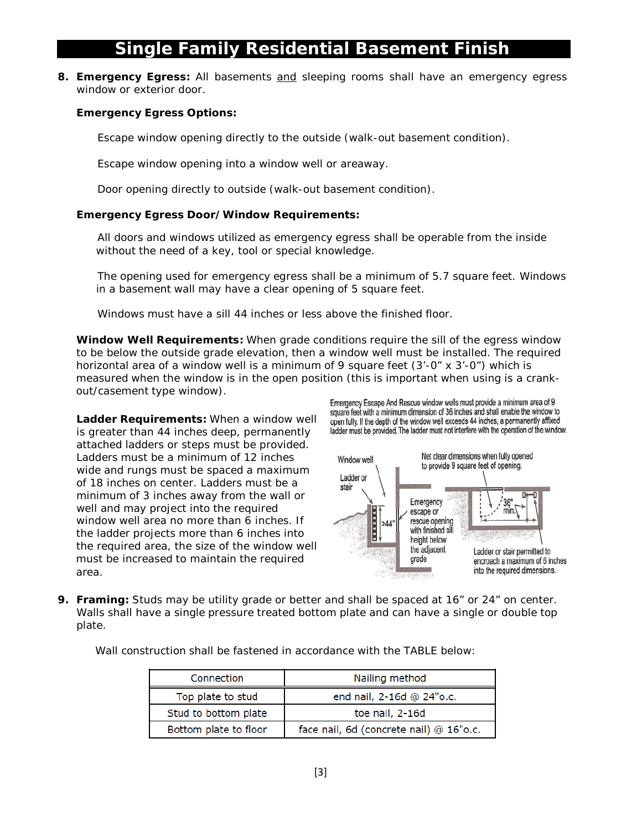**8. Emergency Egress:** All basements and sleeping rooms shall have an emergency egress window or exterior door.

#### **Emergency Egress Options:**

Escape window opening directly to the outside (walk-out basement condition).

Escape window opening into a window well or areaway.

Door opening directly to outside (walk-out basement condition).

#### **Emergency Egress Door/Window Requirements:**

 All doors and windows utilized as emergency egress shall be operable from the inside without the need of a key, tool or special knowledge.

 The opening used for emergency egress shall be a minimum of 5.7 square feet. *Windows in a basement wall may have a clear opening of 5 square feet.*

Windows must have a sill 44 inches or less above the finished floor.

**Window Well Requirements:** When grade conditions require the sill of the egress window to be below the outside grade elevation, then a window well must be installed. The required horizontal area of a window well is a minimum of 9 square feet  $(3'-0' \times 3'-0'')$  which is measured when the window is in the open position (this is important when using is a crankout/casement type window).

**Ladder Requirements:** When a window well is greater than 44 inches deep, permanently attached ladders or steps must be provided. Ladders must be a minimum of 12 inches wide and rungs must be spaced a maximum of 18 inches on center. Ladders must be a minimum of 3 inches away from the wall or well and may project into the required window well area no more than 6 inches. If the ladder projects more than 6 inches into the required area, the size of the window well must be increased to maintain the required area.

Emergency Escape And Rescue window wells must provide a minimum area of 9 square feet with a minimum dimension of 36 inches and shall enable the window to open fully. If the depth of the window well exceeds 44 inches, a permanently affixed ladder must be provided. The ladder must not interfere with the operation of the window.



**9. Framing:** Studs may be utility grade or better and shall be spaced at 16" or 24" on center. Walls shall have a single pressure treated bottom plate and can have a single or double top plate.

Wall construction shall be fastened in accordance with the TABLE below:

| Connection            | Nailing method                          |
|-----------------------|-----------------------------------------|
| Top plate to stud     | end nail, 2-16d @ 24"o.c.               |
| Stud to bottom plate  | toe nail, 2-16d                         |
| Bottom plate to floor | face nail, 6d (concrete nail) @ 16"o.c. |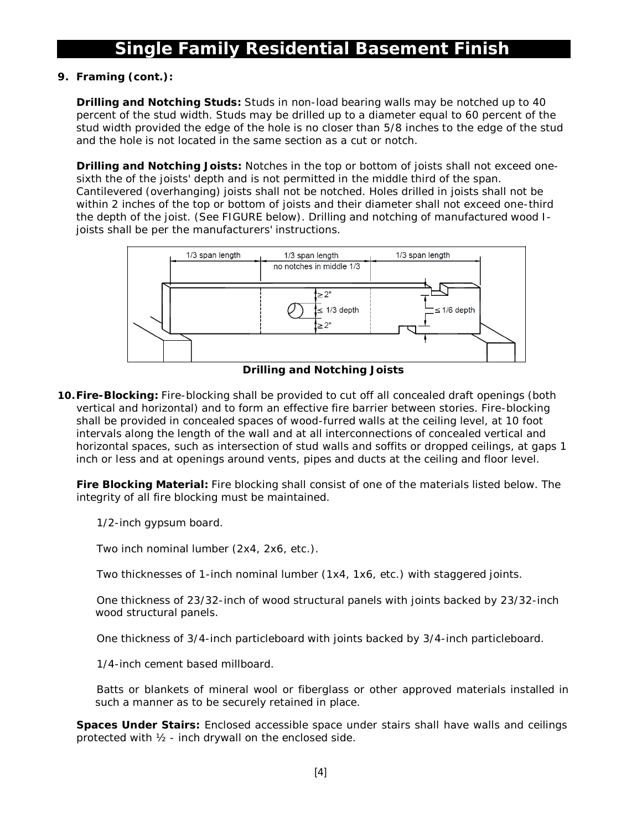#### **9. Framing (cont.):**

**Drilling and Notching Studs:** Studs in non-load bearing walls may be notched up to 40 percent of the stud width. Studs may be drilled up to a diameter equal to 60 percent of the stud width provided the edge of the hole is no closer than 5/8 inches to the edge of the stud and the hole is not located in the same section as a cut or notch.

**Drilling and Notching Joists:** Notches in the top or bottom of joists shall not exceed onesixth the of the joists' depth and is not permitted in the middle third of the span. Cantilevered (overhanging) joists shall not be notched. Holes drilled in joists shall not be within 2 inches of the top or bottom of joists and their diameter shall not exceed one-third the depth of the joist. (See FIGURE below). *Drilling and notching of manufactured wood Ijoists shall be per the manufacturers' instructions.*



**Drilling and Notching Joists**

**10.Fire-Blocking:** Fire-blocking shall be provided to cut off all concealed draft openings (both vertical and horizontal) and to form an effective fire barrier between stories. Fire-blocking shall be provided in concealed spaces of wood-furred walls at the ceiling level, at 10 foot intervals along the length of the wall and at all interconnections of concealed vertical and horizontal spaces, such as intersection of stud walls and soffits or dropped ceilings, at gaps 1 inch or less and at openings around vents, pipes and ducts at the ceiling and floor level.

**Fire Blocking Material:** Fire blocking shall consist of one of the materials listed below. The integrity of all fire blocking must be maintained.

1/2-inch gypsum board.

Two inch nominal lumber (2x4, 2x6, etc.).

Two thicknesses of 1-inch nominal lumber (1x4, 1x6, etc.) with staggered joints.

 One thickness of 23/32-inch of wood structural panels with joints backed by 23/32-inch wood structural panels.

One thickness of 3/4-inch particleboard with joints backed by 3/4-inch particleboard.

1/4-inch cement based millboard.

 Batts or blankets of mineral wool or fiberglass or other *approved* materials installed in such a manner as to be securely retained in place.

**Spaces Under Stairs:** Enclosed accessible space under stairs shall have walls and ceilings protected with ½ - inch drywall on the enclosed side.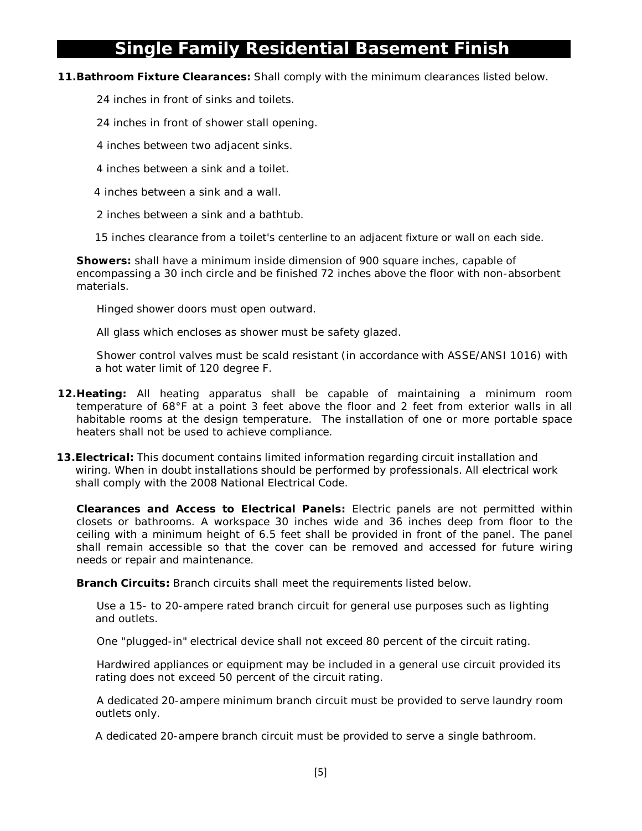#### **11.Bathroom Fixture Clearances:** Shall comply with the minimum clearances listed below.

24 inches in front of sinks and toilets.

24 inches in front of shower stall opening.

4 inches between two adjacent sinks.

- 4 inches between a sink and a toilet.
- 4 inches between a sink and a wall.
- 2 inches between a sink and a bathtub.

15 inches clearance from a toilet's centerline to an adjacent fixture or wall on each side.

**Showers:** shall have a minimum inside dimension of 900 square inches, capable of encompassing a 30 inch circle and be finished 72 inches above the floor with non-absorbent materials.

Hinged shower doors must open outward.

All glass which encloses as shower must be safety glazed.

 Shower control valves must be scald resistant (in accordance with ASSE/ANSI 1016) with a hot water limit of 120 degree F.

- **12.Heating:** All heating apparatus shall be capable of maintaining a minimum room temperature of 68°F at a point 3 feet above the floor and 2 feet from exterior walls in all habitable rooms at the design temperature. The installation of one or more portable space heaters shall not be used to achieve compliance.
- **13.Electrical:** This document contains limited information regarding circuit installation and wiring. When in doubt installations should be performed by professionals. All electrical work shall comply with the 2008 National Electrical Code.

**Clearances and Access to Electrical Panels:** Electric panels are not permitted within closets or bathrooms. A workspace 30 inches wide and 36 inches deep from floor to the ceiling with a minimum height of 6.5 feet shall be provided in front of the panel. The panel shall remain accessible so that the cover can be removed and accessed for future wiring needs or repair and maintenance.

**Branch Circuits:** Branch circuits shall meet the requirements listed below.

 Use a 15- to 20-ampere rated branch circuit for general use purposes such as lighting and outlets.

One "plugged-in" electrical device shall not exceed 80 percent of the circuit rating.

 Hardwired appliances or equipment may be included in a general use circuit provided its rating does not exceed 50 percent of the circuit rating.

 A dedicated 20-ampere minimum branch circuit must be provided to serve laundry room outlets only.

A dedicated 20-ampere branch circuit must be provided to serve a single bathroom.